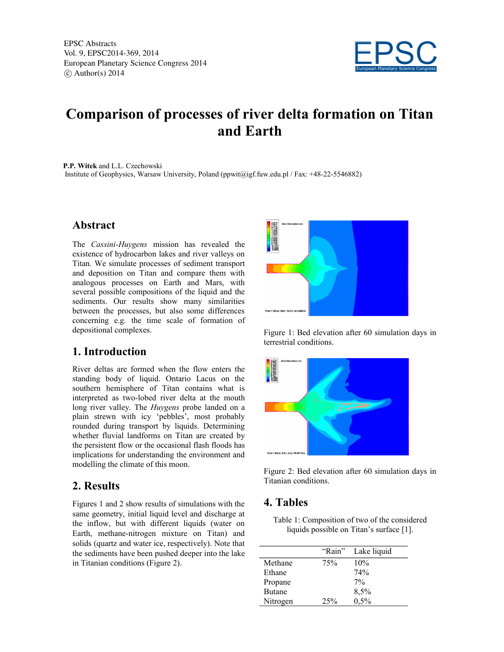

# **Comparison of processes of river delta formation on Titan and Earth**

**P.P. Witek** and L.L. Czechowski Institute of Geophysics, Warsaw University, Poland (ppwit@igf.fuw.edu.pl / Fax: +48-22-5546882)

#### **Abstract**

The *Cassini-Huygens* mission has revealed the existence of hydrocarbon lakes and river valleys on Titan. We simulate processes of sediment transport and deposition on Titan and compare them with analogous processes on Earth and Mars, with several possible compositions of the liquid and the sediments. Our results show many similarities between the processes, but also some differences concerning e.g. the time scale of formation of depositional complexes.

#### **1. Introduction**

River deltas are formed when the flow enters the standing body of liquid. Ontario Lacus on the southern hemisphere of Titan contains what is interpreted as two-lobed river delta at the mouth long river valley. The *Huygens* probe landed on a plain strewn with icy 'pebbles', most probably rounded during transport by liquids. Determining whether fluvial landforms on Titan are created by the persistent flow or the occasional flash floods has implications for understanding the environment and modelling the climate of this moon.

#### **2. Results**

Figures 1 and 2 show results of simulations with the same geometry, initial liquid level and discharge at the inflow, but with different liquids (water on Earth, methane-nitrogen mixture on Titan) and solids (quartz and water ice, respectively). Note that the sediments have been pushed deeper into the lake in Titanian conditions (Figure 2).



Figure 1: Bed elevation after 60 simulation days in terrestrial conditions.



Figure 2: Bed elevation after 60 simulation days in Titanian conditions.

#### **4. Tables**

Table 1: Composition of two of the considered liquids possible on Titan's surface [1].

|               | "Rain" | Lake liquid |
|---------------|--------|-------------|
| Methane       | 75%    | 10%         |
| Ethane        |        | 74%         |
| Propane       |        | 7%          |
| <b>Butane</b> |        | 8,5%        |
| Nitrogen      | 25%    | 0,5%        |